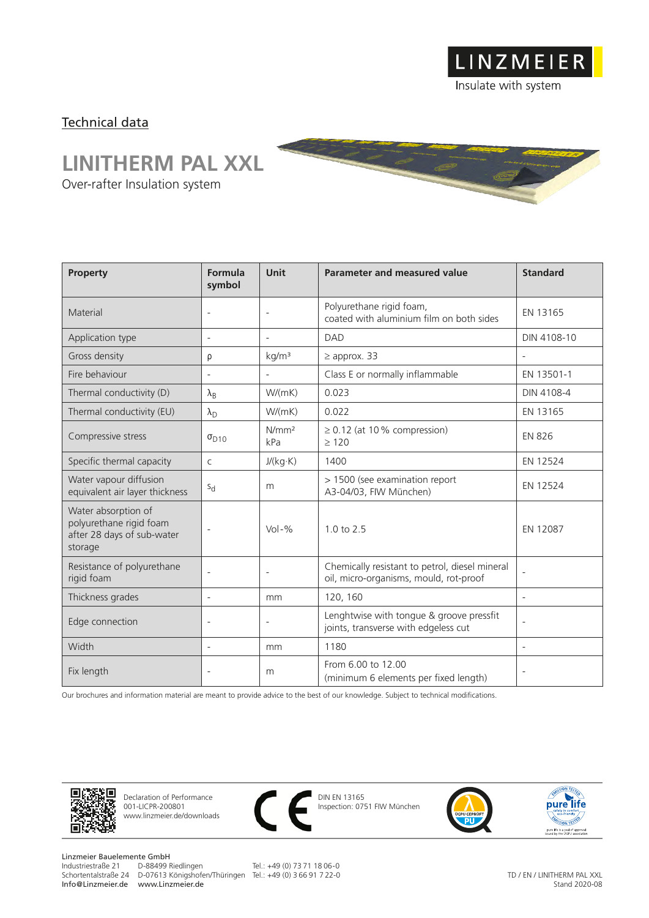Insulate with system

LINZMEIER

## Technical data

## **LINITHERM PAL XXL**

Over-rafter Insulation system

| Property                                                                                | Formula<br>symbol        | <b>Unit</b>              | Parameter and measured value                                                             | <b>Standard</b>          |
|-----------------------------------------------------------------------------------------|--------------------------|--------------------------|------------------------------------------------------------------------------------------|--------------------------|
| Material                                                                                | $\overline{\phantom{a}}$ | $\overline{\phantom{0}}$ | Polyurethane rigid foam,<br>coated with aluminium film on both sides                     | EN 13165                 |
| Application type                                                                        | $\overline{\phantom{a}}$ |                          | <b>DAD</b>                                                                               | DIN 4108-10              |
| Gross density                                                                           | ρ                        | kg/m <sup>3</sup>        | $\geq$ approx. 33                                                                        |                          |
| Fire behaviour                                                                          | $\overline{\phantom{a}}$ |                          | Class E or normally inflammable                                                          | EN 13501-1               |
| Thermal conductivity (D)                                                                | $\lambda_{\rm B}$        | W/(mK)                   | 0.023                                                                                    | DIN 4108-4               |
| Thermal conductivity (EU)                                                               | $\lambda_{\rm D}$        | W/(mK)                   | 0.022                                                                                    | EN 13165                 |
| Compressive stress                                                                      | $\sigma_{D10}$           | N/mm <sup>2</sup><br>kPa | $\geq$ 0.12 (at 10% compression)<br>>120                                                 | <b>EN 826</b>            |
| Specific thermal capacity                                                               | $\mathsf{C}$             | J/(kg·K)                 | 1400                                                                                     | EN 12524                 |
| Water vapour diffusion<br>equivalent air layer thickness                                | $S_{d}$                  | m                        | > 1500 (see examination report<br>A3-04/03, FIW München)                                 | EN 12524                 |
| Water absorption of<br>polyurethane rigid foam<br>after 28 days of sub-water<br>storage | $\overline{\phantom{a}}$ | $Vol - \%$               | $1.0 \text{ to } 2.5$                                                                    | EN 12087                 |
| Resistance of polyurethane<br>rigid foam                                                | $\overline{\phantom{a}}$ | $\overline{\phantom{0}}$ | Chemically resistant to petrol, diesel mineral<br>oil, micro-organisms, mould, rot-proof | $\overline{\phantom{a}}$ |
| Thickness grades                                                                        | $\overline{\phantom{a}}$ | mm                       | 120, 160                                                                                 | $\overline{\phantom{a}}$ |
| Edge connection                                                                         | $\overline{\phantom{a}}$ | $\overline{a}$           | Lenghtwise with tongue & groove pressfit<br>joints, transverse with edgeless cut         | $\overline{a}$           |
| Width                                                                                   | $\overline{\phantom{a}}$ | mm                       | 1180                                                                                     | $\overline{\phantom{a}}$ |
| Fix length                                                                              | $\overline{a}$           | m                        | From 6.00 to 12.00<br>(minimum 6 elements per fixed length)                              | $\overline{\phantom{a}}$ |

Our brochures and information material are meant to provide advice to the best of our knowledge. Subject to technical modifications.



Declaration of Performance 001-LICPR-200801 www.linzmeier.de/downloads



DIN EN 13165 Inspection: 0751 FIW München





Linzmeier Bauelemente GmbH<br>Industriestraße 21 D-88499 Riedlingen Schortentalstraße 24 D-07613 Königshofen/Thüringen Tel.: +49 (0) 3 66 91 7 22-0 Info@Linzmeier.de www.Linzmeier.de

Tel.: +49 (0) 73 71 18 06-0

TD / EN / LINITHERM PAL XXL Stand 2020-08